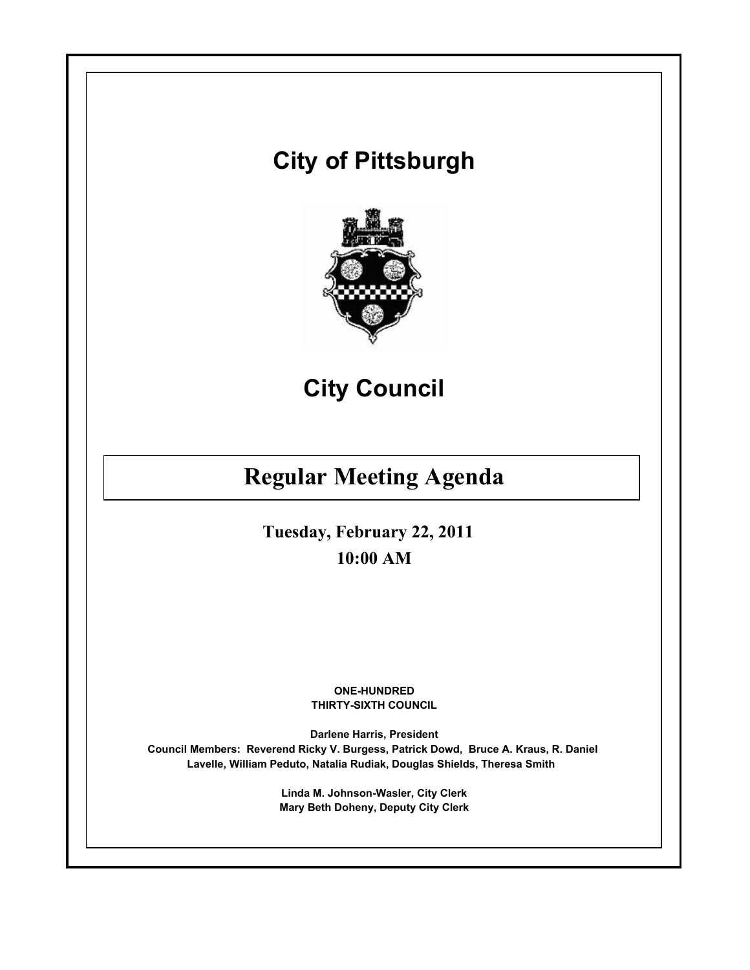# **Tuesday, February 22, 2011 10:00 AM City of Pittsburgh City Council ONE-HUNDRED THIRTY-SIXTH COUNCIL Darlene Harris, President Council Members: Reverend Ricky V. Burgess, Patrick Dowd, Bruce A. Kraus, R. Daniel Lavelle, William Peduto, Natalia Rudiak, Douglas Shields, Theresa Smith Linda M. Johnson-Wasler, City Clerk Mary Beth Doheny, Deputy City Clerk Regular Meeting Agenda**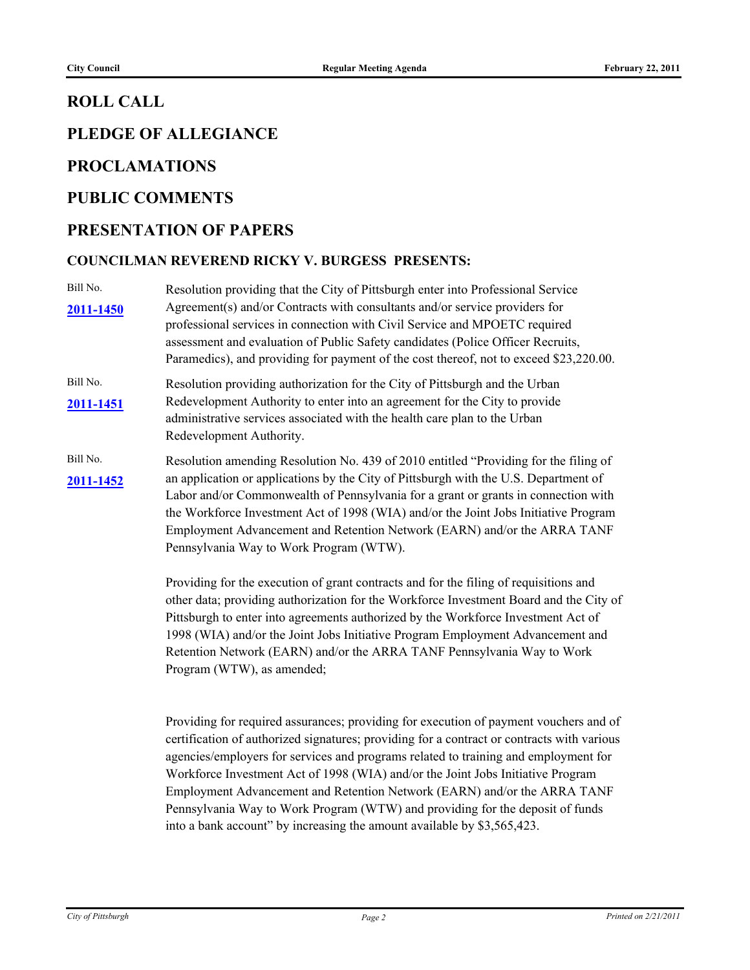# **ROLL CALL**

# **PLEDGE OF ALLEGIANCE**

## **PROCLAMATIONS**

#### **PUBLIC COMMENTS**

## **PRESENTATION OF PAPERS**

#### **COUNCILMAN REVEREND RICKY V. BURGESS PRESENTS:**

- Bill No. Resolution providing that the City of Pittsburgh enter into Professional Service Agreement(s) and/or Contracts with consultants and/or service providers for **[2011-1450](http://pittsburgh.legistar.com/gateway.aspx?M=L&ID=14047)** professional services in connection with Civil Service and MPOETC required assessment and evaluation of Public Safety candidates (Police Officer Recruits, Paramedics), and providing for payment of the cost thereof, not to exceed \$23,220.00. Bill No. Resolution providing authorization for the City of Pittsburgh and the Urban Redevelopment Authority to enter into an agreement for the City to provide administrative services associated with the health care plan to the Urban Redevelopment Authority. **[2011-1451](http://pittsburgh.legistar.com/gateway.aspx?M=L&ID=14048)** Bill No. Resolution amending Resolution No. 439 of 2010 entitled "Providing for the filing of
- [2011-1452](http://pittsburgh.legistar.com/gateway.aspx?M=L&ID=14049) an application or applications by the City of Pittsburgh with the U.S. Department of Labor and/or Commonwealth of Pennsylvania for a grant or grants in connection with the Workforce Investment Act of 1998 (WIA) and/or the Joint Jobs Initiative Program Employment Advancement and Retention Network (EARN) and/or the ARRA TANF Pennsylvania Way to Work Program (WTW).

Providing for the execution of grant contracts and for the filing of requisitions and other data; providing authorization for the Workforce Investment Board and the City of Pittsburgh to enter into agreements authorized by the Workforce Investment Act of 1998 (WIA) and/or the Joint Jobs Initiative Program Employment Advancement and Retention Network (EARN) and/or the ARRA TANF Pennsylvania Way to Work Program (WTW), as amended;

Providing for required assurances; providing for execution of payment vouchers and of certification of authorized signatures; providing for a contract or contracts with various agencies/employers for services and programs related to training and employment for Workforce Investment Act of 1998 (WIA) and/or the Joint Jobs Initiative Program Employment Advancement and Retention Network (EARN) and/or the ARRA TANF Pennsylvania Way to Work Program (WTW) and providing for the deposit of funds into a bank account" by increasing the amount available by \$3,565,423.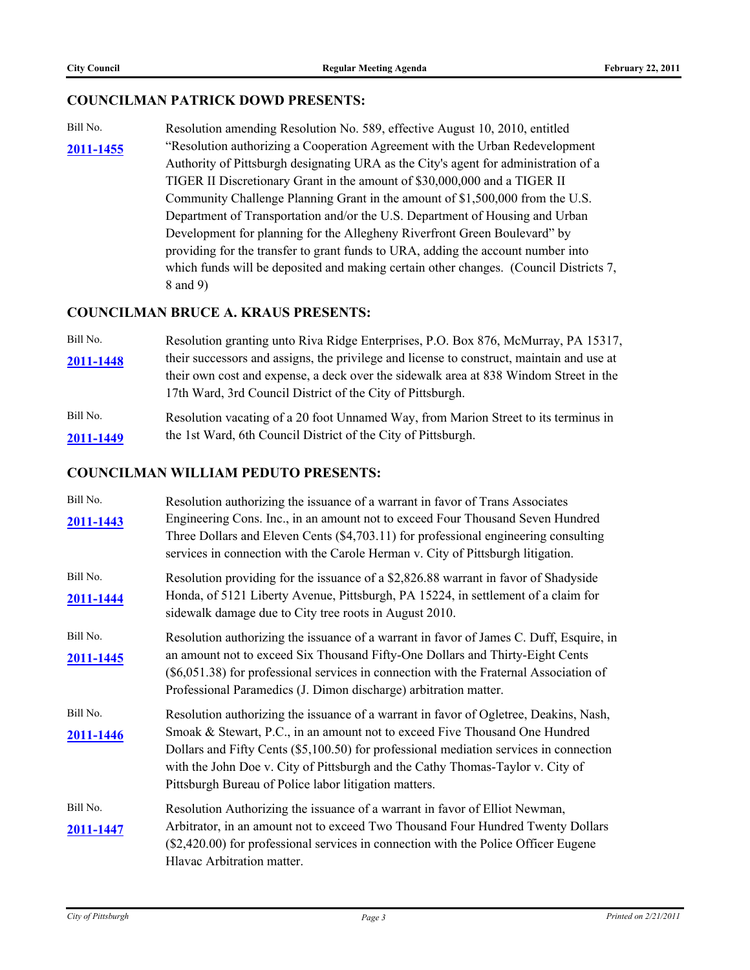#### **COUNCILMAN PATRICK DOWD PRESENTS:**

Bill No. Resolution amending Resolution No. 589, effective August 10, 2010, entitled "Resolution authorizing a Cooperation Agreement with the Urban Redevelopment **[2011-1455](http://pittsburgh.legistar.com/gateway.aspx?M=L&ID=14052)** Authority of Pittsburgh designating URA as the City's agent for administration of a TIGER II Discretionary Grant in the amount of \$30,000,000 and a TIGER II Community Challenge Planning Grant in the amount of \$1,500,000 from the U.S. Department of Transportation and/or the U.S. Department of Housing and Urban Development for planning for the Allegheny Riverfront Green Boulevard" by providing for the transfer to grant funds to URA, adding the account number into which funds will be deposited and making certain other changes. (Council Districts 7, 8 and 9)

#### **COUNCILMAN BRUCE A. KRAUS PRESENTS:**

- Bill No. Resolution granting unto Riva Ridge Enterprises, P.O. Box 876, McMurray, PA 15317, their successors and assigns, the privilege and license to construct, maintain and use at **[2011-1448](http://pittsburgh.legistar.com/gateway.aspx?M=L&ID=14045)** their own cost and expense, a deck over the sidewalk area at 838 Windom Street in the 17th Ward, 3rd Council District of the City of Pittsburgh.
- Bill No. Resolution vacating of a 20 foot Unnamed Way, from Marion Street to its terminus in **[2011-1449](http://pittsburgh.legistar.com/gateway.aspx?M=L&ID=14046)** the 1st Ward, 6th Council District of the City of Pittsburgh.

#### **COUNCILMAN WILLIAM PEDUTO PRESENTS:**

| Bill No.<br>2011-1443 | Resolution authorizing the issuance of a warrant in favor of Trans Associates<br>Engineering Cons. Inc., in an amount not to exceed Four Thousand Seven Hundred<br>Three Dollars and Eleven Cents (\$4,703.11) for professional engineering consulting<br>services in connection with the Carole Herman v. City of Pittsburgh litigation.                                                                 |
|-----------------------|-----------------------------------------------------------------------------------------------------------------------------------------------------------------------------------------------------------------------------------------------------------------------------------------------------------------------------------------------------------------------------------------------------------|
| Bill No.<br>2011-1444 | Resolution providing for the issuance of a \$2,826.88 warrant in favor of Shadyside<br>Honda, of 5121 Liberty Avenue, Pittsburgh, PA 15224, in settlement of a claim for<br>sidewalk damage due to City tree roots in August 2010.                                                                                                                                                                        |
| Bill No.<br>2011-1445 | Resolution authorizing the issuance of a warrant in favor of James C. Duff, Esquire, in<br>an amount not to exceed Six Thousand Fifty-One Dollars and Thirty-Eight Cents<br>(\$6,051.38) for professional services in connection with the Fraternal Association of<br>Professional Paramedics (J. Dimon discharge) arbitration matter.                                                                    |
| Bill No.<br>2011-1446 | Resolution authorizing the issuance of a warrant in favor of Ogletree, Deakins, Nash,<br>Smoak & Stewart, P.C., in an amount not to exceed Five Thousand One Hundred<br>Dollars and Fifty Cents (\$5,100.50) for professional mediation services in connection<br>with the John Doe v. City of Pittsburgh and the Cathy Thomas-Taylor v. City of<br>Pittsburgh Bureau of Police labor litigation matters. |
| Bill No.<br>2011-1447 | Resolution Authorizing the issuance of a warrant in favor of Elliot Newman,<br>Arbitrator, in an amount not to exceed Two Thousand Four Hundred Twenty Dollars<br>(\$2,420.00) for professional services in connection with the Police Officer Eugene<br>Hlavac Arbitration matter.                                                                                                                       |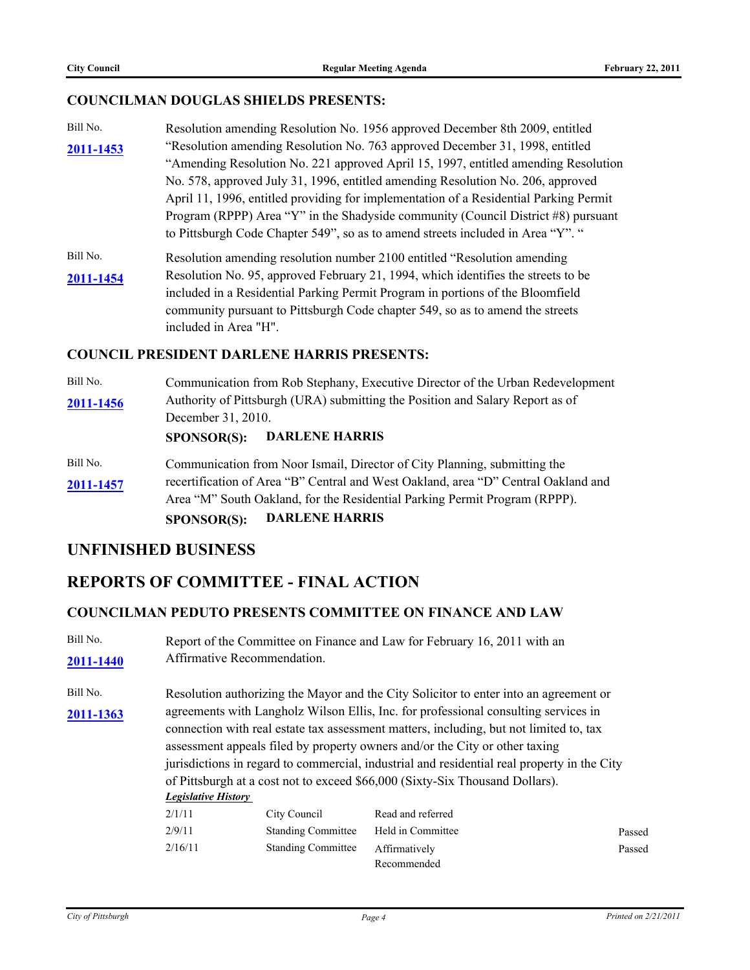#### **COUNCILMAN DOUGLAS SHIELDS PRESENTS:**

- Bill No. Resolution amending Resolution No. 1956 approved December 8th 2009, entitled "Resolution amending Resolution No. 763 approved December 31, 1998, entitled **[2011-1453](http://pittsburgh.legistar.com/gateway.aspx?M=L&ID=14050)** "Amending Resolution No. 221 approved April 15, 1997, entitled amending Resolution No. 578, approved July 31, 1996, entitled amending Resolution No. 206, approved April 11, 1996, entitled providing for implementation of a Residential Parking Permit Program (RPPP) Area "Y" in the Shadyside community (Council District #8) pursuant to Pittsburgh Code Chapter 549", so as to amend streets included in Area "Y". "
- Bill No. Resolution amending resolution number 2100 entitled "Resolution amending [2011-1454](http://pittsburgh.legistar.com/gateway.aspx?M=L&ID=14051) Resolution No. 95, approved February 21, 1994, which identifies the streets to be included in a Residential Parking Permit Program in portions of the Bloomfield community pursuant to Pittsburgh Code chapter 549, so as to amend the streets included in Area "H".

#### **COUNCIL PRESIDENT DARLENE HARRIS PRESENTS:**

Bill No. Communication from Rob Stephany, Executive Director of the Urban Redevelopment [2011-1456](http://pittsburgh.legistar.com/gateway.aspx?M=L&ID=14053) Authority of Pittsburgh (URA) submitting the Position and Salary Report as of December 31, 2010.

#### **SPONSOR(S): DARLENE HARRIS**

Bill No. Communication from Noor Ismail, Director of City Planning, submitting the recertification of Area "B" Central and West Oakland, area "D" Central Oakland and Area "M" South Oakland, for the Residential Parking Permit Program (RPPP). **[2011-1457](http://pittsburgh.legistar.com/gateway.aspx?M=L&ID=14054)**

#### **SPONSOR(S): DARLENE HARRIS**

#### **UNFINISHED BUSINESS**

# **REPORTS OF COMMITTEE - FINAL ACTION**

#### **COUNCILMAN PEDUTO PRESENTS COMMITTEE ON FINANCE AND LAW**

Bill No. Report of the Committee on Finance and Law for February 16, 2011 with an **[2011-1440](http://pittsburgh.legistar.com/gateway.aspx?M=L&ID=14037)** Affirmative Recommendation. Bill No. Resolution authorizing the Mayor and the City Solicitor to enter into an agreement or [2011-1363](http://pittsburgh.legistar.com/gateway.aspx?M=L&ID=13956) agreements with Langholz Wilson Ellis, Inc. for professional consulting services in connection with real estate tax assessment matters, including, but not limited to, tax assessment appeals filed by property owners and/or the City or other taxing jurisdictions in regard to commercial, industrial and residential real property in the City of Pittsburgh at a cost not to exceed \$66,000 (Sixty-Six Thousand Dollars). *Legislative History*  2/1/11 City Council Read and referred 2/9/11 Standing Committee Held in Committee Passed 2/16/11 Standing Committee Affirmatively **Example 216** Passed

Recommended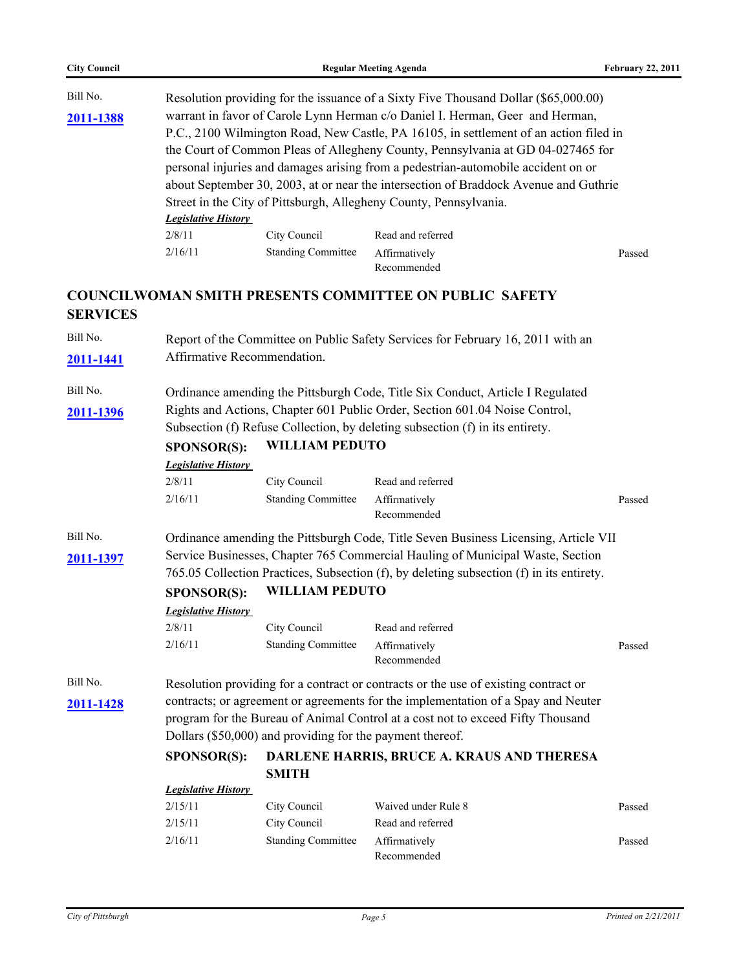| <b>City Council</b>   |                                                                                                                                                                                                                                                                                                                                                                                                                                                                                                                                                                                                                                                                                 | <b>February 22, 2011</b>                                                          |                                                                                     |        |  |  |  |
|-----------------------|---------------------------------------------------------------------------------------------------------------------------------------------------------------------------------------------------------------------------------------------------------------------------------------------------------------------------------------------------------------------------------------------------------------------------------------------------------------------------------------------------------------------------------------------------------------------------------------------------------------------------------------------------------------------------------|-----------------------------------------------------------------------------------|-------------------------------------------------------------------------------------|--------|--|--|--|
| Bill No.<br>2011-1388 | Resolution providing for the issuance of a Sixty Five Thousand Dollar (\$65,000.00)<br>warrant in favor of Carole Lynn Herman c/o Daniel I. Herman, Geer and Herman,<br>P.C., 2100 Wilmington Road, New Castle, PA 16105, in settlement of an action filed in<br>the Court of Common Pleas of Allegheny County, Pennsylvania at GD 04-027465 for<br>personal injuries and damages arising from a pedestrian-automobile accident on or<br>about September 30, 2003, at or near the intersection of Braddock Avenue and Guthrie<br>Street in the City of Pittsburgh, Allegheny County, Pennsylvania.<br><b>Legislative History</b><br>2/8/11<br>City Council<br>Read and referred |                                                                                   |                                                                                     |        |  |  |  |
|                       | 2/16/11                                                                                                                                                                                                                                                                                                                                                                                                                                                                                                                                                                                                                                                                         | <b>Standing Committee</b>                                                         | Affirmatively<br>Recommended                                                        | Passed |  |  |  |
| <b>SERVICES</b>       |                                                                                                                                                                                                                                                                                                                                                                                                                                                                                                                                                                                                                                                                                 |                                                                                   | <b>COUNCILWOMAN SMITH PRESENTS COMMITTEE ON PUBLIC SAFETY</b>                       |        |  |  |  |
| Bill No.<br>2011-1441 | Report of the Committee on Public Safety Services for February 16, 2011 with an<br>Affirmative Recommendation.                                                                                                                                                                                                                                                                                                                                                                                                                                                                                                                                                                  |                                                                                   |                                                                                     |        |  |  |  |
| Bill No.              |                                                                                                                                                                                                                                                                                                                                                                                                                                                                                                                                                                                                                                                                                 |                                                                                   | Ordinance amending the Pittsburgh Code, Title Six Conduct, Article I Regulated      |        |  |  |  |
| 2011-1396             | Rights and Actions, Chapter 601 Public Order, Section 601.04 Noise Control,<br>Subsection (f) Refuse Collection, by deleting subsection (f) in its entirety.<br><b>WILLIAM PEDUTO</b><br><b>SPONSOR(S):</b>                                                                                                                                                                                                                                                                                                                                                                                                                                                                     |                                                                                   |                                                                                     |        |  |  |  |
|                       | <b>Legislative History</b>                                                                                                                                                                                                                                                                                                                                                                                                                                                                                                                                                                                                                                                      |                                                                                   |                                                                                     |        |  |  |  |
|                       | 2/8/11                                                                                                                                                                                                                                                                                                                                                                                                                                                                                                                                                                                                                                                                          | City Council                                                                      | Read and referred                                                                   |        |  |  |  |
|                       | 2/16/11                                                                                                                                                                                                                                                                                                                                                                                                                                                                                                                                                                                                                                                                         | <b>Standing Committee</b>                                                         | Affirmatively<br>Recommended                                                        | Passed |  |  |  |
| Bill No.              |                                                                                                                                                                                                                                                                                                                                                                                                                                                                                                                                                                                                                                                                                 |                                                                                   | Ordinance amending the Pittsburgh Code, Title Seven Business Licensing, Article VII |        |  |  |  |
| 2011-1397             | Service Businesses, Chapter 765 Commercial Hauling of Municipal Waste, Section<br>765.05 Collection Practices, Subsection (f), by deleting subsection (f) in its entirety.                                                                                                                                                                                                                                                                                                                                                                                                                                                                                                      |                                                                                   |                                                                                     |        |  |  |  |
|                       | <b>SPONSOR(S):</b>                                                                                                                                                                                                                                                                                                                                                                                                                                                                                                                                                                                                                                                              | <b>WILLIAM PEDUTO</b>                                                             |                                                                                     |        |  |  |  |
|                       | <b>Legislative History</b>                                                                                                                                                                                                                                                                                                                                                                                                                                                                                                                                                                                                                                                      |                                                                                   |                                                                                     |        |  |  |  |
|                       | 2/8/11                                                                                                                                                                                                                                                                                                                                                                                                                                                                                                                                                                                                                                                                          | City Council                                                                      | Read and referred                                                                   |        |  |  |  |
|                       | 2/16/11                                                                                                                                                                                                                                                                                                                                                                                                                                                                                                                                                                                                                                                                         | <b>Standing Committee</b>                                                         | Affirmatively<br>Recommended                                                        | Passed |  |  |  |
| Bill No.              |                                                                                                                                                                                                                                                                                                                                                                                                                                                                                                                                                                                                                                                                                 |                                                                                   | Resolution providing for a contract or contracts or the use of existing contract or |        |  |  |  |
| 2011-1428             |                                                                                                                                                                                                                                                                                                                                                                                                                                                                                                                                                                                                                                                                                 | contracts; or agreement or agreements for the implementation of a Spay and Neuter |                                                                                     |        |  |  |  |
|                       | program for the Bureau of Animal Control at a cost not to exceed Fifty Thousand                                                                                                                                                                                                                                                                                                                                                                                                                                                                                                                                                                                                 |                                                                                   |                                                                                     |        |  |  |  |
|                       | Dollars (\$50,000) and providing for the payment thereof.                                                                                                                                                                                                                                                                                                                                                                                                                                                                                                                                                                                                                       |                                                                                   |                                                                                     |        |  |  |  |
|                       | <b>SPONSOR(S):</b>                                                                                                                                                                                                                                                                                                                                                                                                                                                                                                                                                                                                                                                              |                                                                                   | DARLENE HARRIS, BRUCE A. KRAUS AND THERESA                                          |        |  |  |  |
|                       |                                                                                                                                                                                                                                                                                                                                                                                                                                                                                                                                                                                                                                                                                 | <b>SMITH</b>                                                                      |                                                                                     |        |  |  |  |
|                       | <b>Legislative History</b>                                                                                                                                                                                                                                                                                                                                                                                                                                                                                                                                                                                                                                                      |                                                                                   |                                                                                     |        |  |  |  |
|                       | 2/15/11                                                                                                                                                                                                                                                                                                                                                                                                                                                                                                                                                                                                                                                                         | City Council                                                                      | Waived under Rule 8                                                                 | Passed |  |  |  |
|                       | 2/15/11                                                                                                                                                                                                                                                                                                                                                                                                                                                                                                                                                                                                                                                                         | City Council                                                                      | Read and referred                                                                   |        |  |  |  |
|                       | 2/16/11                                                                                                                                                                                                                                                                                                                                                                                                                                                                                                                                                                                                                                                                         | <b>Standing Committee</b>                                                         | Affirmatively<br>Recommended                                                        | Passed |  |  |  |